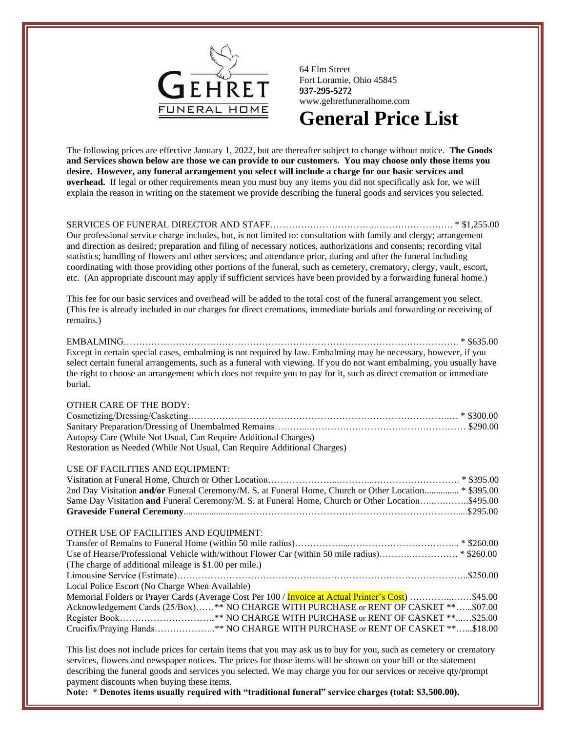

64 Elm Street Fort Loramie, Ohio 45845 **937-295-5272** www.gehretfuneralhome.com

# **General Price List**

The following prices are effective January 1, 2022, but are thereafter subject to change without notice. **The Goods and Services shown below are those we can provide to our customers. You may choose only those items you desire. However, any funeral arrangement you select will include a charge for our basic services and overhead.** If legal or other requirements mean you must buy any items you did not specifically ask for, we will explain the reason in writing on the statement we provide describing the funeral goods and services you selected.

SERVICES OF FUNERAL DIRECTOR AND STAFF……………………………..……………………. \* \$1,255.00

Our professional service charge includes, but, is not limited to: consultation with family and clergy; arrangement and direction as desired; preparation and filing of necessary notices, authorizations and consents; recording vital statistics; handling of flowers and other services; and attendance prior, during and after the funeral including coordinating with those providing other portions of the funeral, such as cemetery, crematory, clergy, vault, escort, etc. (An appropriate discount may apply if sufficient services have been provided by a forwarding funeral home.)

This fee for our basic services and overhead will be added to the total cost of the funeral arrangement you select. (This fee is already included in our charges for direct cremations, immediate burials and forwarding or receiving of remains.)

#### EMBALMING………………………………………………………………………………………………. \* \$635.00

Except in certain special cases, embalming is not required by law. Embalming may be necessary, however, if you select certain funeral arrangements, such as a funeral with viewing. If you do not want embalming, you usually have the right to choose an arrangement which does not require you to pay for it, such as direct cremation or immediate burial.

| OTHER CARE OF THE BODY:                                                 |  |
|-------------------------------------------------------------------------|--|
|                                                                         |  |
|                                                                         |  |
| Autopsy Care (While Not Usual, Can Require Additional Charges)          |  |
| Restoration as Needed (While Not Usual, Can Require Additional Charges) |  |
|                                                                         |  |

## USE OF FACILITIES AND EQUIPMENT:

| 2nd Day Visitation and/or Funeral Ceremony/M. S. at Funeral Home, Church or Other Location * \$395.00 |  |
|-------------------------------------------------------------------------------------------------------|--|
| Same Day Visitation and Funeral Ceremony/M. S. at Funeral Home, Church or Other Location\$495.00      |  |
|                                                                                                       |  |
|                                                                                                       |  |

#### OTHER USE OF FACILITIES AND EQUIPMENT:

| (The charge of additional mileage is \$1.00 per mile.)                                             |  |
|----------------------------------------------------------------------------------------------------|--|
|                                                                                                    |  |
| Local Police Escort (No Charge When Available)                                                     |  |
| Memorial Folders or Prayer Cards (Average Cost Per 100 / Invoice at Actual Printer's Cost) \$45.00 |  |
| Acknowledgement Cards (25/Box)** NO CHARGE WITH PURCHASE or RENT OF CASKET **\$07.00               |  |
|                                                                                                    |  |
| Crucifix/Praying Hands*** NO CHARGE WITH PURCHASE or RENT OF CASKET **\$18.00                      |  |

This list does not include prices for certain items that you may ask us to buy for you, such as cemetery or crematory services, flowers and newspaper notices. The prices for those items will be shown on your bill or the statement describing the funeral goods and services you selected. We may charge you for our services or receive qty/prompt payment discounts when buying these items.

**Note: \* Denotes items usually required with "traditional funeral" service charges (total: \$3,500.00).**